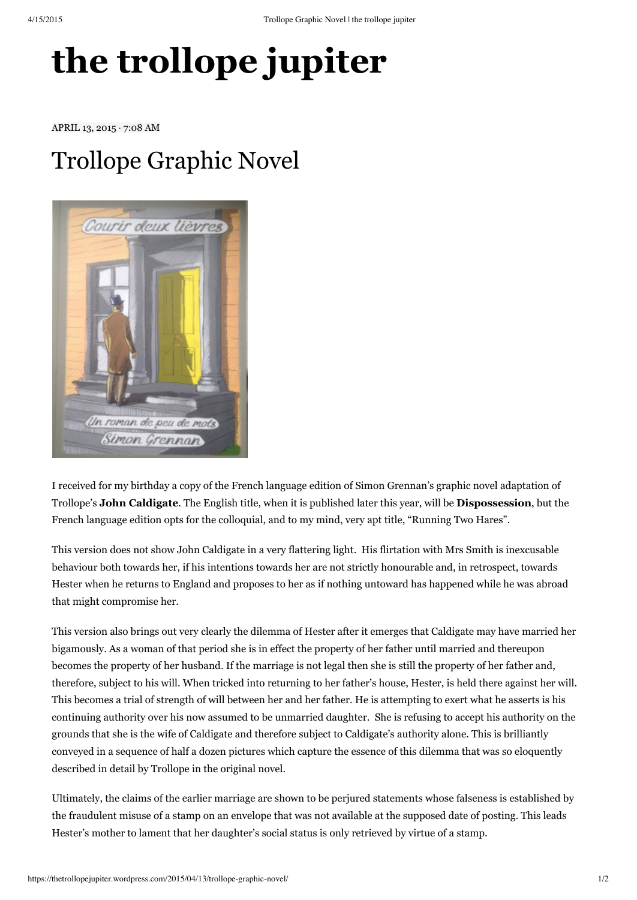## **the [trollope](https://thetrollopejupiter.wordpress.com/) jupiter**

APRIL 13, 2015 · 7:08 AM

## [Trollope](https://thetrollopejupiter.wordpress.com/2015/04/13/trollope-graphic-novel/) Graphic Novel



I received for my birthday a copy of the French language edition of Simon Grennan's graphic novel adaptation of Trollope's **John Caldigate**. The English title, when it is published later this year, will be **Dispossession**, but the French language edition opts for the colloquial, and to my mind, very apt title, "Running Two Hares".

This version does not show John Caldigate in a very flattering light. His flirtation with Mrs Smith is inexcusable behaviour both towards her, if his intentions towards her are not strictly honourable and, in retrospect, towards Hester when he returns to England and proposes to her as if nothing untoward has happened while he was abroad that might compromise her.

This version also brings out very clearly the dilemma of Hester after it emerges that Caldigate may have married her bigamously. As a woman of that period she is in effect the property of her father until married and thereupon becomes the property of her husband. If the marriage is not legal then she is still the property of her father and, therefore, subject to his will. When tricked into returning to her father's house, Hester, is held there against her will. This becomes a trial of strength of will between her and her father. He is attempting to exert what he asserts is his continuing authority over his now assumed to be unmarried daughter. She is refusing to accept his authority on the grounds that she is the wife of Caldigate and therefore subject to Caldigate's authority alone. This is brilliantly conveyed in a sequence of half a dozen pictures which capture the essence of this dilemma that was so eloquently described in detail by Trollope in the original novel.

Ultimately, the claims of the earlier marriage are shown to be perjured statements whose falseness is established by the fraudulent misuse of a stamp on an envelope that was not available at the supposed date of posting. This leads Hester's mother to lament that her daughter's social status is only retrieved by virtue of a stamp.